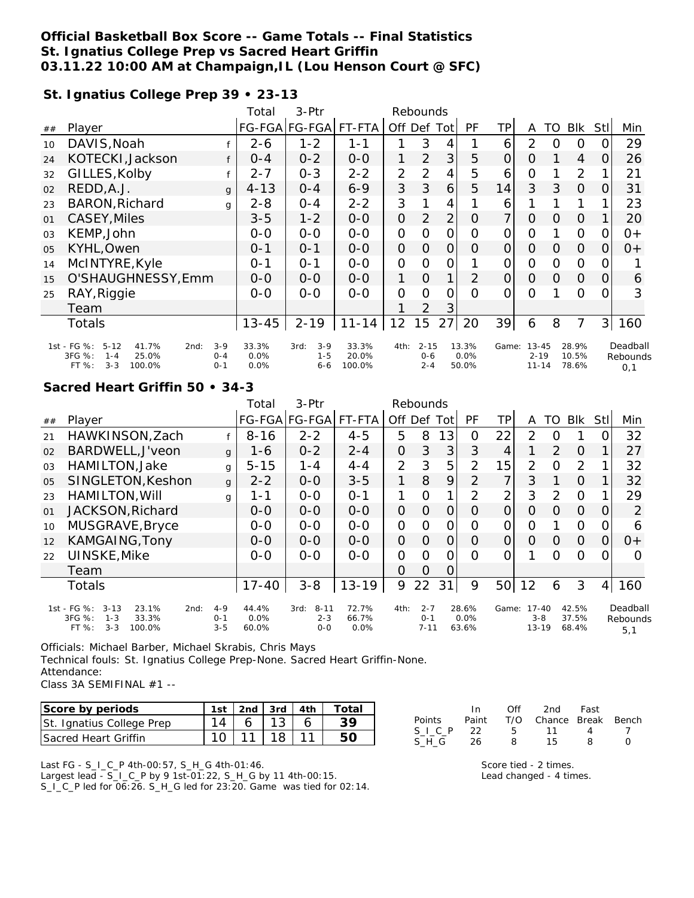## **Official Basketball Box Score -- Game Totals -- Final Statistics St. Ignatius College Prep vs Sacred Heart Griffin 03.11.22 10:00 AM at Champaign,IL (Lou Henson Court @ SFC)**

### **St. Ignatius College Prep 39 • 23-13**

|    |                                                                                                      |                               | Total                 | 3-Ptr                                 |                          | Rebounds       |                                |                |                        |                |                                    |          |                         |          |                             |
|----|------------------------------------------------------------------------------------------------------|-------------------------------|-----------------------|---------------------------------------|--------------------------|----------------|--------------------------------|----------------|------------------------|----------------|------------------------------------|----------|-------------------------|----------|-----------------------------|
| ## | Player                                                                                               |                               |                       | FG-FGA FG-FGA                         | FT-FTA                   |                |                                | Off Def Tot    | <b>PF</b>              | ΤP             | A                                  | TO       | Blk                     | Stll     | Min                         |
| 10 | DAVIS, Noah                                                                                          |                               | $2 - 6$               | $1 - 2$                               | $1 - 1$                  | 1              | 3                              | 4              |                        | 6              | $\mathcal{P}$                      | $\Omega$ | 0                       |          | 29                          |
| 24 | KOTECKI, Jackson                                                                                     |                               | $O - 4$               | $0 - 2$                               | $0 - 0$                  | 1              | 2                              | 3              | 5                      | 0              | O                                  |          | $\overline{4}$          | $\Omega$ | 26                          |
| 32 | GILLES, Kolby                                                                                        |                               | 2-7                   | $O - 3$                               | $2 - 2$                  | 2              | 2                              | 4              | 5                      | 6              | 0                                  |          | 2                       |          | 21                          |
| 02 | REDD, A.J.                                                                                           | $\mathsf{q}$                  | $4 - 13$              | $O - 4$                               | $6 - 9$                  | 3              | 3                              | 6              | 5                      | 14             | 3                                  | 3        | $\Omega$                | $\Omega$ | 31                          |
| 23 | <b>BARON, Richard</b>                                                                                | q                             | $2 - 8$               | $0 - 4$                               | $2 - 2$                  | 3              |                                | 4              |                        | 6              |                                    |          |                         |          | 23                          |
| 01 | CASEY, Miles                                                                                         |                               | $3 - 5$               | $1 - 2$                               | $0 - 0$                  | $\mathbf 0$    | $\overline{2}$                 | $\overline{2}$ | O                      | $\overline{7}$ | $\overline{O}$                     | $\Omega$ | $\overline{O}$          |          | 20                          |
| 03 | KEMP, John                                                                                           |                               | $O-O$                 | $O-O$                                 | $0 - 0$                  | O              | Ω                              | 0              | Ω                      | 0              | 0                                  |          | $\overline{O}$          | O        | $0+$                        |
| 05 | KYHL, Owen                                                                                           |                               | $0 - 1$               | $O - 1$                               | $0-0$                    | $\overline{O}$ | 0                              | 0              | 0                      | $\overline{O}$ | 0                                  | $\Omega$ | $\overline{O}$          | O        | $0+$                        |
| 14 | McINTYRE, Kyle                                                                                       |                               | $0 - 1$               | $O - 1$                               | $0 - 0$                  | $\overline{O}$ | O                              | 0              |                        | 0              | $\Omega$                           | $\Omega$ | $\mathbf{O}$            | O        |                             |
| 15 | O'SHAUGHNESSY, Emm                                                                                   |                               | $O-O$                 | $O-O$                                 | $0 - 0$                  | 1              | $\Omega$                       | 1              | 2                      | 0              | $\Omega$                           | $\Omega$ | $\Omega$                | 0        | 6                           |
| 25 | RAY, Riggie                                                                                          |                               | $O-O$                 | $O-O$                                 | $O-O$                    | O              | Ω                              | Ω              | O                      | 0              | $\Omega$                           |          | $\Omega$                |          | 3                           |
|    | Team                                                                                                 |                               |                       |                                       |                          |                | $\overline{2}$                 | 3              |                        |                |                                    |          |                         |          |                             |
|    | Totals                                                                                               |                               | $13 - 45$             | $2 - 19$                              | $11 - 14$                | 12             | 15                             | 27             | 20                     | 39             | 6                                  | 8        | $\overline{7}$          | 3        | 160                         |
|    | 1st - FG %:<br>$5 - 12$<br>41.7%<br>2nd:<br>3FG %:<br>25.0%<br>$1 - 4$<br>FT %:<br>$3 - 3$<br>100.0% | $3 - 9$<br>$O - 4$<br>$0 - 1$ | 33.3%<br>0.0%<br>0.0% | $3 - 9$<br>3rd:<br>$1 - 5$<br>$6 - 6$ | 33.3%<br>20.0%<br>100.0% | 4th:           | $2 - 15$<br>$0 - 6$<br>$2 - 4$ |                | 13.3%<br>0.0%<br>50.0% | Game:          | $13 - 45$<br>$2 - 19$<br>$11 - 14$ |          | 28.9%<br>10.5%<br>78.6% |          | Deadball<br>Rebounds<br>0.1 |

### **Sacred Heart Griffin 50 • 34-3**

|                |                                                                                                      |                               | Total                  | $3-Ptr$                                |                        | Rebounds       |                                |                |                        |                 |                                   |               |                         |          |                             |
|----------------|------------------------------------------------------------------------------------------------------|-------------------------------|------------------------|----------------------------------------|------------------------|----------------|--------------------------------|----------------|------------------------|-----------------|-----------------------------------|---------------|-------------------------|----------|-----------------------------|
| ##             | Player                                                                                               |                               |                        | FG-FGA FG-FGA                          | FT-FTA                 | Off Def        |                                | Totl           | PF                     | ΤP              | A                                 | TO            | <b>BIK</b>              | Stll     | Min                         |
| 21             | HAWKINSON, Zach                                                                                      |                               | $8 - 16$               | $2 - 2$                                | $4 - 5$                | 5              | 8                              | 13             | 0                      | 22              | 2                                 | O             |                         |          | 32                          |
| 02             | BARDWELL, J'veon                                                                                     | $\mathbf{q}$                  | $1 - 6$                | $0 - 2$                                | $2 - 4$                | 0              | 3                              | 3 <sup>1</sup> | 3                      | 4               |                                   | $\mathcal{P}$ | 0                       |          | 27                          |
| 0 <sub>3</sub> | HAMILTON, Jake                                                                                       | g                             | $5 - 15$               | 1 - 4                                  | $4 - 4$                | 2              | 3                              | 5              | $\overline{2}$         | 15 <sub>1</sub> | $\overline{2}$                    | O             | 2                       |          | 32                          |
| O <sub>5</sub> | SINGLETON, Keshon                                                                                    | $\mathbf{q}$                  | $2 - 2$                | $0 - 0$                                | $3 - 5$                | 1.             | 8                              | 9              | 2                      | 7               | 3                                 |               | $\Omega$                |          | 32                          |
| 23             | HAMILTON, Will                                                                                       | g                             | 1-1                    | $0 - 0$                                | $O - 1$                | 1              | $\Omega$                       | 1              | $\mathcal{P}$          | 2               | 3                                 | $\mathcal{P}$ | $\Omega$                |          | 29                          |
| O <sub>1</sub> | JACKSON, Richard                                                                                     |                               | $0 - 0$                | $0 - 0$                                | $0 - 0$                | $\overline{O}$ | $\Omega$                       | 0              | $\Omega$               | 0               | $\Omega$                          | O             | $\overline{O}$          | $\Omega$ | 2                           |
| 10             | MUSGRAVE, Bryce                                                                                      |                               | $0 - 0$                | $0 - 0$                                | $0 - 0$                | $\mathbf{O}$   | $\Omega$                       | 0              | O                      | 0               | 0                                 |               | $\Omega$                | O        | 6                           |
| 12             | KAMGAING, Tony                                                                                       |                               | $0 - 0$                | $0 - 0$                                | $0 - 0$                | $\overline{O}$ | $\Omega$                       | $\Omega$       | 0                      | $\Omega$        | $\Omega$                          | O             | $\Omega$                | Ω        | $0+$                        |
| 22             | UINSKE, Mike                                                                                         |                               | $0-0$                  | $0-0$                                  | $0-0$                  | $\overline{O}$ | $\Omega$                       | 0              | $\Omega$               | $\Omega$        |                                   | Ω             | Ω                       |          | $\bigcap$                   |
|                | Team                                                                                                 |                               |                        |                                        |                        | $\Omega$       | $\Omega$                       | $\overline{O}$ |                        |                 |                                   |               |                         |          |                             |
|                | Totals                                                                                               |                               | $17 - 40$              | $3 - 8$                                | $13 - 19$              | 9              | 22                             | 31             | 9                      | 50 <sup>1</sup> | 12                                | 6             | 3                       | 4        | 160                         |
|                | 1st - FG %:<br>$3 - 13$<br>23.1%<br>2nd:<br>3FG %:<br>33.3%<br>$1 - 3$<br>$3 - 3$<br>FT %:<br>100.0% | $4 - 9$<br>$0 - 1$<br>$3 - 5$ | 44.4%<br>0.0%<br>60.0% | $8 - 11$<br>3rd:<br>$2 - 3$<br>$0 - 0$ | 72.7%<br>66.7%<br>0.0% | 4th:           | $2 - 7$<br>$0 - 1$<br>$7 - 11$ |                | 28.6%<br>0.0%<br>63.6% | Game:           | $17 - 40$<br>$3 - 8$<br>$13 - 19$ |               | 42.5%<br>37.5%<br>68.4% |          | Deadball<br>Rebounds<br>5,1 |

Officials: Michael Barber, Michael Skrabis, Chris Mays Technical fouls: St. Ignatius College Prep-None. Sacred Heart Griffin-None. Attendance: Class 3A SEMIFINAL #1 --

| Score by periods            |  | 2nd $\sqrt{3}$ rd $\sqrt{4}$ th |  |
|-----------------------------|--|---------------------------------|--|
| St. Ignatius College Prep   |  |                                 |  |
| <b>Sacred Heart Griffin</b> |  | 18.                             |  |

Last FG - S\_I\_C\_P 4th-00:57, S\_H\_G 4th-01:46. Largest lead - S\_I\_C\_P by 9 1st-01:22, S\_H\_G by 11 4th-00:15. S\_I\_C\_P led for 06:26. S\_H\_G led for 23:20. Game was tied for 02:14.

|         | In 1 |    | Off 2nd Fast                 |                   |  |
|---------|------|----|------------------------------|-------------------|--|
| Points  |      |    | Paint T/O Chance Break Bench |                   |  |
| SICP 22 |      |    | 5 11                         | $\mathbf{\Delta}$ |  |
| S H G   | - 26 | 8. | 15.                          | 8                 |  |

Score tied - 2 times. Lead changed - 4 times.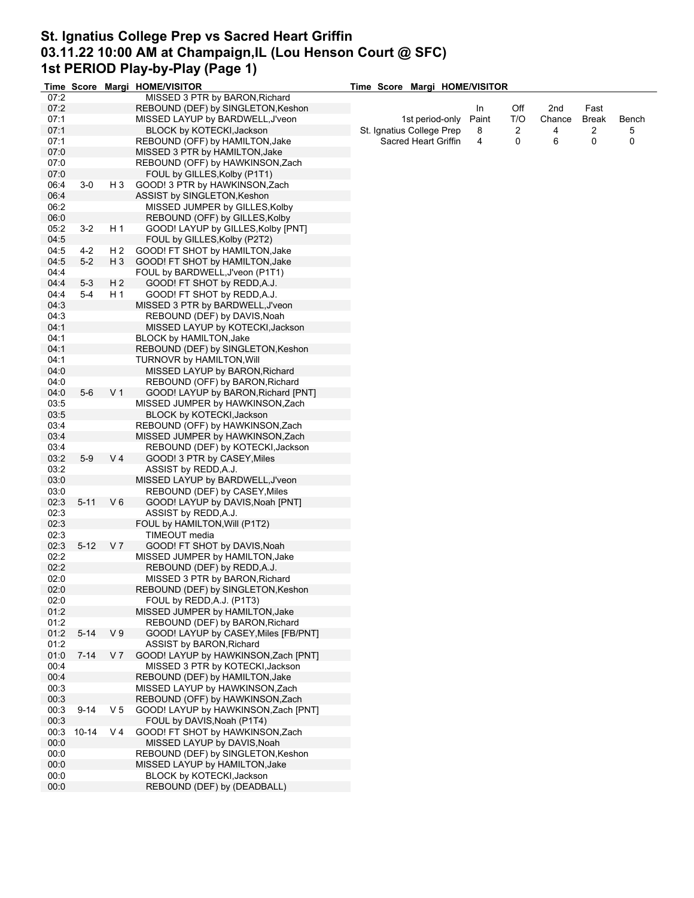## **St. Ignatius College Prep vs Sacred Heart Griffin 03.11.22 10:00 AM at Champaign,IL (Lou Henson Court @ SFC) 1st PERIOD Play-by-Play (Page 1)**

|      |            |                | Time Score Margi HOME/VISITOR        | Time Score Margi HOME/VISITOR |       |     |        |              |       |
|------|------------|----------------|--------------------------------------|-------------------------------|-------|-----|--------|--------------|-------|
| 07:2 |            |                | MISSED 3 PTR by BARON, Richard       |                               |       |     |        |              |       |
| 07:2 |            |                | REBOUND (DEF) by SINGLETON, Keshon   |                               | In    | Off | 2nd    | Fast         |       |
| 07:1 |            |                | MISSED LAYUP by BARDWELL, J'veon     | 1st period-only               | Paint | T/O | Chance | <b>Break</b> | Bench |
| 07:1 |            |                | BLOCK by KOTECKI, Jackson            | St. Ignatius College Prep     | 8     | 2   | 4      | 2            | 5     |
| 07:1 |            |                | REBOUND (OFF) by HAMILTON, Jake      | Sacred Heart Griffin          | 4     | 0   | 6      | 0            | 0     |
| 07:0 |            |                | MISSED 3 PTR by HAMILTON, Jake       |                               |       |     |        |              |       |
| 07:0 |            |                | REBOUND (OFF) by HAWKINSON, Zach     |                               |       |     |        |              |       |
| 07:0 |            |                | FOUL by GILLES, Kolby (P1T1)         |                               |       |     |        |              |       |
| 06:4 | $3-0$      | H 3            | GOOD! 3 PTR by HAWKINSON, Zach       |                               |       |     |        |              |       |
| 06:4 |            |                | ASSIST by SINGLETON, Keshon          |                               |       |     |        |              |       |
| 06:2 |            |                | MISSED JUMPER by GILLES, Kolby       |                               |       |     |        |              |       |
| 06:0 |            |                | REBOUND (OFF) by GILLES, Kolby       |                               |       |     |        |              |       |
| 05:2 | $3 - 2$    | H 1            | GOOD! LAYUP by GILLES, Kolby [PNT]   |                               |       |     |        |              |       |
| 04:5 |            |                | FOUL by GILLES, Kolby (P2T2)         |                               |       |     |        |              |       |
| 04:5 | $4 - 2$    | H 2            | GOOD! FT SHOT by HAMILTON, Jake      |                               |       |     |        |              |       |
| 04:5 | $5 - 2$    | H <sub>3</sub> | GOOD! FT SHOT by HAMILTON, Jake      |                               |       |     |        |              |       |
| 04:4 |            |                | FOUL by BARDWELL, J'veon (P1T1)      |                               |       |     |        |              |       |
| 04:4 | $5 - 3$    | H <sub>2</sub> | GOOD! FT SHOT by REDD, A.J.          |                               |       |     |        |              |       |
| 04:4 | $5 - 4$    | H 1            | GOOD! FT SHOT by REDD, A.J.          |                               |       |     |        |              |       |
| 04:3 |            |                | MISSED 3 PTR by BARDWELL, J'veon     |                               |       |     |        |              |       |
| 04:3 |            |                | REBOUND (DEF) by DAVIS, Noah         |                               |       |     |        |              |       |
| 04:1 |            |                | MISSED LAYUP by KOTECKI, Jackson     |                               |       |     |        |              |       |
| 04:1 |            |                | <b>BLOCK by HAMILTON, Jake</b>       |                               |       |     |        |              |       |
| 04:1 |            |                |                                      |                               |       |     |        |              |       |
|      |            |                | REBOUND (DEF) by SINGLETON, Keshon   |                               |       |     |        |              |       |
| 04:1 |            |                | TURNOVR by HAMILTON, Will            |                               |       |     |        |              |       |
| 04:0 |            |                | MISSED LAYUP by BARON, Richard       |                               |       |     |        |              |       |
| 04:0 |            |                | REBOUND (OFF) by BARON, Richard      |                               |       |     |        |              |       |
| 04:0 | $5-6$      | V <sub>1</sub> | GOOD! LAYUP by BARON, Richard [PNT]  |                               |       |     |        |              |       |
| 03:5 |            |                | MISSED JUMPER by HAWKINSON, Zach     |                               |       |     |        |              |       |
| 03:5 |            |                | BLOCK by KOTECKI, Jackson            |                               |       |     |        |              |       |
| 03:4 |            |                | REBOUND (OFF) by HAWKINSON, Zach     |                               |       |     |        |              |       |
| 03:4 |            |                | MISSED JUMPER by HAWKINSON, Zach     |                               |       |     |        |              |       |
| 03:4 |            |                | REBOUND (DEF) by KOTECKI, Jackson    |                               |       |     |        |              |       |
| 03:2 | $5-9$      | V 4            | GOOD! 3 PTR by CASEY, Miles          |                               |       |     |        |              |       |
| 03:2 |            |                | ASSIST by REDD, A.J.                 |                               |       |     |        |              |       |
| 03:0 |            |                | MISSED LAYUP by BARDWELL, J'veon     |                               |       |     |        |              |       |
| 03:0 |            |                | REBOUND (DEF) by CASEY, Miles        |                               |       |     |        |              |       |
| 02:3 | $5 - 11$   | $V_6$          | GOOD! LAYUP by DAVIS, Noah [PNT]     |                               |       |     |        |              |       |
| 02:3 |            |                | ASSIST by REDD, A.J.                 |                               |       |     |        |              |       |
| 02:3 |            |                | FOUL by HAMILTON, Will (P1T2)        |                               |       |     |        |              |       |
| 02:3 |            |                | TIMEOUT media                        |                               |       |     |        |              |       |
| 02:3 | $5 - 12$   | V 7            | GOOD! FT SHOT by DAVIS, Noah         |                               |       |     |        |              |       |
| 02:2 |            |                | MISSED JUMPER by HAMILTON, Jake      |                               |       |     |        |              |       |
| 02:2 |            |                | REBOUND (DEF) by REDD, A.J.          |                               |       |     |        |              |       |
| 02:0 |            |                | MISSED 3 PTR by BARON, Richard       |                               |       |     |        |              |       |
| 02:0 |            |                | REBOUND (DEF) by SINGLETON, Keshon   |                               |       |     |        |              |       |
| 02:0 |            |                | FOUL by REDD, A.J. (P1T3)            |                               |       |     |        |              |       |
| 01:2 |            |                | MISSED JUMPER by HAMILTON, Jake      |                               |       |     |        |              |       |
| 01:2 |            |                | REBOUND (DEF) by BARON, Richard      |                               |       |     |        |              |       |
| 01:2 | $5 - 14$   | V <sub>9</sub> | GOOD! LAYUP by CASEY, Miles [FB/PNT] |                               |       |     |        |              |       |
| 01:2 |            |                | ASSIST by BARON, Richard             |                               |       |     |        |              |       |
| 01:0 | $7 - 14$   | V 7            | GOOD! LAYUP by HAWKINSON, Zach [PNT] |                               |       |     |        |              |       |
| 00:4 |            |                | MISSED 3 PTR by KOTECKI, Jackson     |                               |       |     |        |              |       |
| 00:4 |            |                | REBOUND (DEF) by HAMILTON, Jake      |                               |       |     |        |              |       |
| 00:3 |            |                | MISSED LAYUP by HAWKINSON, Zach      |                               |       |     |        |              |       |
| 00:3 |            |                | REBOUND (OFF) by HAWKINSON, Zach     |                               |       |     |        |              |       |
| 00:3 | $9 - 14$   | V 5            | GOOD! LAYUP by HAWKINSON, Zach [PNT] |                               |       |     |        |              |       |
| 00:3 |            |                | FOUL by DAVIS, Noah (P1T4)           |                               |       |     |        |              |       |
|      | 00:3 10-14 | V 4            | GOOD! FT SHOT by HAWKINSON, Zach     |                               |       |     |        |              |       |
| 00:0 |            |                | MISSED LAYUP by DAVIS, Noah          |                               |       |     |        |              |       |
| 00:0 |            |                | REBOUND (DEF) by SINGLETON, Keshon   |                               |       |     |        |              |       |
| 00:0 |            |                | MISSED LAYUP by HAMILTON, Jake       |                               |       |     |        |              |       |
| 00:0 |            |                | BLOCK by KOTECKI, Jackson            |                               |       |     |        |              |       |
| 00:0 |            |                | REBOUND (DEF) by (DEADBALL)          |                               |       |     |        |              |       |
|      |            |                |                                      |                               |       |     |        |              |       |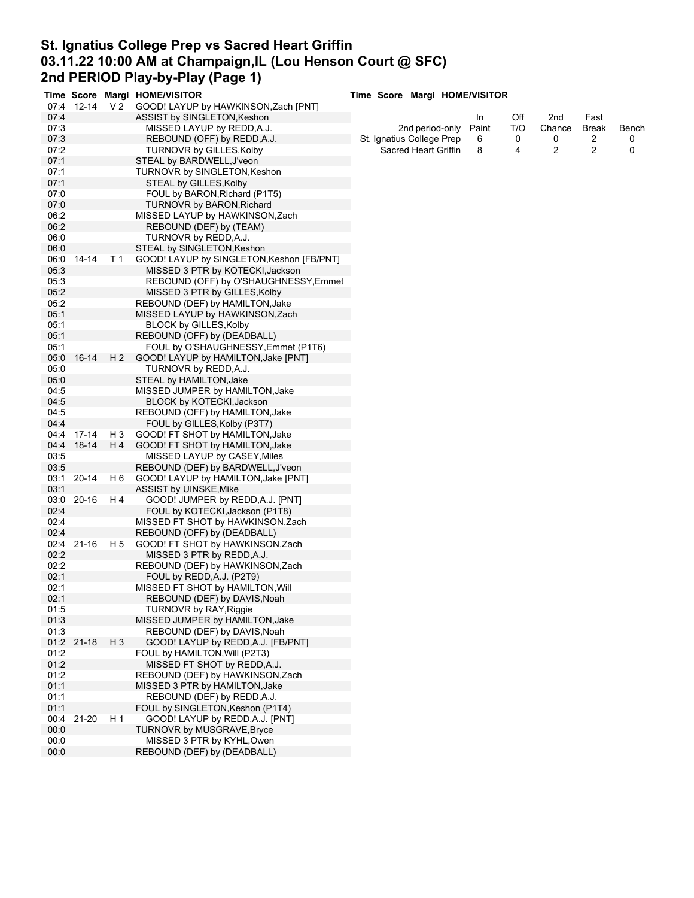## **St. Ignatius College Prep vs Sacred Heart Griffin 03.11.22 10:00 AM at Champaign,IL (Lou Henson Court @ SFC) 2nd PERIOD Play-by-Play (Page 1)**

|      | <b>Time Score</b> |                | Margi HOME/VISITOR                        | Time Score Margi HOME/VISITOR |                      |       |     |        |              |       |
|------|-------------------|----------------|-------------------------------------------|-------------------------------|----------------------|-------|-----|--------|--------------|-------|
| 07:4 | $12 - 14$         | V <sub>2</sub> | GOOD! LAYUP by HAWKINSON, Zach [PNT]      |                               |                      |       |     |        |              |       |
| 07:4 |                   |                | ASSIST by SINGLETON, Keshon               |                               |                      | In    | Off | 2nd    | Fast         |       |
| 07:3 |                   |                | MISSED LAYUP by REDD, A.J.                |                               | 2nd period-only      | Paint | T/O | Chance | <b>Break</b> | Bench |
| 07:3 |                   |                | REBOUND (OFF) by REDD, A.J.               | St. Ignatius College Prep     |                      | 6     | 0   | 0      | 2            | 0     |
| 07:2 |                   |                | TURNOVR by GILLES, Kolby                  |                               | Sacred Heart Griffin | 8     | 4   | 2      | 2            | 0     |
| 07:1 |                   |                | STEAL by BARDWELL, J'veon                 |                               |                      |       |     |        |              |       |
|      |                   |                |                                           |                               |                      |       |     |        |              |       |
| 07:1 |                   |                | TURNOVR by SINGLETON, Keshon              |                               |                      |       |     |        |              |       |
| 07:1 |                   |                | STEAL by GILLES, Kolby                    |                               |                      |       |     |        |              |       |
| 07:0 |                   |                | FOUL by BARON, Richard (P1T5)             |                               |                      |       |     |        |              |       |
| 07:0 |                   |                | <b>TURNOVR by BARON, Richard</b>          |                               |                      |       |     |        |              |       |
| 06:2 |                   |                | MISSED LAYUP by HAWKINSON, Zach           |                               |                      |       |     |        |              |       |
| 06:2 |                   |                | REBOUND (DEF) by (TEAM)                   |                               |                      |       |     |        |              |       |
| 06:0 |                   |                | TURNOVR by REDD, A.J.                     |                               |                      |       |     |        |              |       |
| 06:0 |                   |                | STEAL by SINGLETON, Keshon                |                               |                      |       |     |        |              |       |
| 06:0 | 14-14             | T 1            | GOOD! LAYUP by SINGLETON, Keshon [FB/PNT] |                               |                      |       |     |        |              |       |
| 05.3 |                   |                | MISSED 3 PTR by KOTECKI, Jackson          |                               |                      |       |     |        |              |       |
| 05:3 |                   |                |                                           |                               |                      |       |     |        |              |       |
|      |                   |                | REBOUND (OFF) by O'SHAUGHNESSY, Emmet     |                               |                      |       |     |        |              |       |
| 05:2 |                   |                | MISSED 3 PTR by GILLES, Kolby             |                               |                      |       |     |        |              |       |
| 05:2 |                   |                | REBOUND (DEF) by HAMILTON, Jake           |                               |                      |       |     |        |              |       |
| 05:1 |                   |                | MISSED LAYUP by HAWKINSON, Zach           |                               |                      |       |     |        |              |       |
| 05:1 |                   |                | <b>BLOCK by GILLES, Kolby</b>             |                               |                      |       |     |        |              |       |
| 05:1 |                   |                | REBOUND (OFF) by (DEADBALL)               |                               |                      |       |     |        |              |       |
| 05:1 |                   |                | FOUL by O'SHAUGHNESSY, Emmet (P1T6)       |                               |                      |       |     |        |              |       |
| 05:0 | $16-14$           | H <sub>2</sub> | GOOD! LAYUP by HAMILTON, Jake [PNT]       |                               |                      |       |     |        |              |       |
| 05:0 |                   |                | TURNOVR by REDD, A.J.                     |                               |                      |       |     |        |              |       |
|      |                   |                |                                           |                               |                      |       |     |        |              |       |
| 05:0 |                   |                | STEAL by HAMILTON, Jake                   |                               |                      |       |     |        |              |       |
| 04:5 |                   |                | MISSED JUMPER by HAMILTON, Jake           |                               |                      |       |     |        |              |       |
| 04:5 |                   |                | BLOCK by KOTECKI, Jackson                 |                               |                      |       |     |        |              |       |
| 04:5 |                   |                | REBOUND (OFF) by HAMILTON, Jake           |                               |                      |       |     |        |              |       |
| 04:4 |                   |                | FOUL by GILLES, Kolby (P3T7)              |                               |                      |       |     |        |              |       |
| 04:4 | 17-14             | H <sub>3</sub> | GOOD! FT SHOT by HAMILTON, Jake           |                               |                      |       |     |        |              |       |
| 04:4 | 18-14             |                | H4 GOOD! FT SHOT by HAMILTON, Jake        |                               |                      |       |     |        |              |       |
| 03:5 |                   |                | MISSED LAYUP by CASEY, Miles              |                               |                      |       |     |        |              |       |
| 03:5 |                   |                | REBOUND (DEF) by BARDWELL, J'veon         |                               |                      |       |     |        |              |       |
| 03:1 | $20 - 14$         | H 6            | GOOD! LAYUP by HAMILTON, Jake [PNT]       |                               |                      |       |     |        |              |       |
| 03:1 |                   |                | ASSIST by UINSKE, Mike                    |                               |                      |       |     |        |              |       |
| 03:0 | 20-16             | H 4            | GOOD! JUMPER by REDD, A.J. [PNT]          |                               |                      |       |     |        |              |       |
|      |                   |                |                                           |                               |                      |       |     |        |              |       |
| 02:4 |                   |                | FOUL by KOTECKI, Jackson (P1T8)           |                               |                      |       |     |        |              |       |
| 02:4 |                   |                | MISSED FT SHOT by HAWKINSON, Zach         |                               |                      |       |     |        |              |       |
| 02:4 |                   |                | REBOUND (OFF) by (DEADBALL)               |                               |                      |       |     |        |              |       |
| 02:4 | $21 - 16$         | H 5            | GOOD! FT SHOT by HAWKINSON, Zach          |                               |                      |       |     |        |              |       |
| 02:2 |                   |                | MISSED 3 PTR by REDD, A.J.                |                               |                      |       |     |        |              |       |
| 02:2 |                   |                | REBOUND (DEF) by HAWKINSON, Zach          |                               |                      |       |     |        |              |       |
| 02:1 |                   |                | FOUL by REDD, A.J. (P2T9)                 |                               |                      |       |     |        |              |       |
| 02:1 |                   |                | MISSED FT SHOT by HAMILTON, Will          |                               |                      |       |     |        |              |       |
| 02:1 |                   |                | REBOUND (DEF) by DAVIS, Noah              |                               |                      |       |     |        |              |       |
| 01:5 |                   |                | TURNOVR by RAY, Riggie                    |                               |                      |       |     |        |              |       |
| 01:3 |                   |                |                                           |                               |                      |       |     |        |              |       |
|      |                   |                | MISSED JUMPER by HAMILTON, Jake           |                               |                      |       |     |        |              |       |
| 01:3 |                   |                | REBOUND (DEF) by DAVIS, Noah              |                               |                      |       |     |        |              |       |
|      | 01:2 21-18        | H <sub>3</sub> | GOOD! LAYUP by REDD, A.J. [FB/PNT]        |                               |                      |       |     |        |              |       |
| 01:2 |                   |                | FOUL by HAMILTON, Will (P2T3)             |                               |                      |       |     |        |              |       |
| 01:2 |                   |                | MISSED FT SHOT by REDD, A.J.              |                               |                      |       |     |        |              |       |
| 01:2 |                   |                | REBOUND (DEF) by HAWKINSON, Zach          |                               |                      |       |     |        |              |       |
| 01:1 |                   |                | MISSED 3 PTR by HAMILTON, Jake            |                               |                      |       |     |        |              |       |
| 01:1 |                   |                | REBOUND (DEF) by REDD, A.J.               |                               |                      |       |     |        |              |       |
| 01:1 |                   |                | FOUL by SINGLETON, Keshon (P1T4)          |                               |                      |       |     |        |              |       |
| 00:4 | 21-20             | H <sub>1</sub> | GOOD! LAYUP by REDD, A.J. [PNT]           |                               |                      |       |     |        |              |       |
|      |                   |                |                                           |                               |                      |       |     |        |              |       |
| 00:0 |                   |                | TURNOVR by MUSGRAVE, Bryce                |                               |                      |       |     |        |              |       |
| 00:0 |                   |                | MISSED 3 PTR by KYHL, Owen                |                               |                      |       |     |        |              |       |
| 00:0 |                   |                | REBOUND (DEF) by (DEADBALL)               |                               |                      |       |     |        |              |       |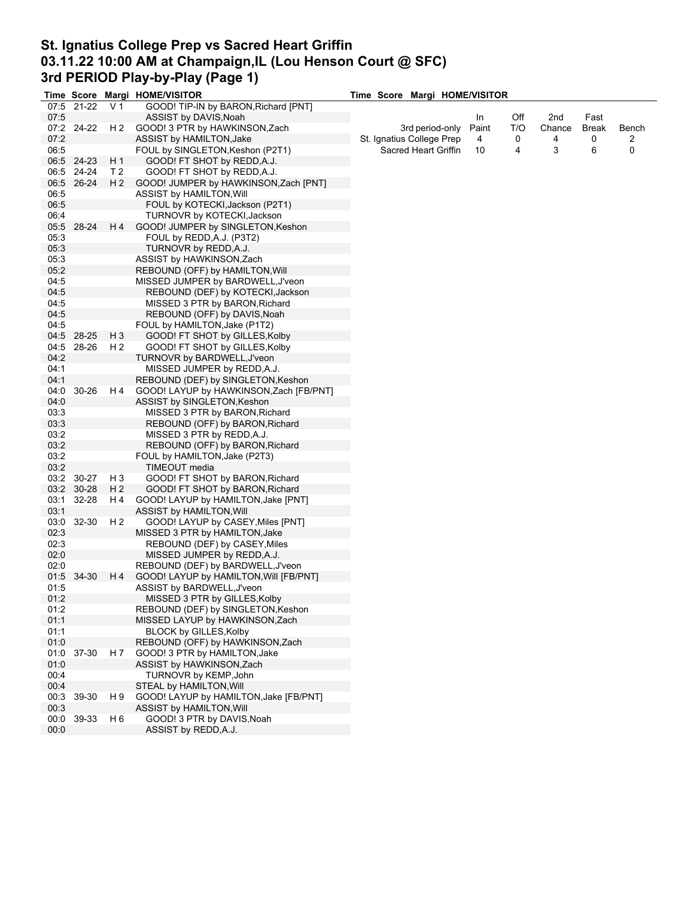## **St. Ignatius College Prep vs Sacred Heart Griffin 03.11.22 10:00 AM at Champaign,IL (Lou Henson Court @ SFC) 3rd PERIOD Play-by-Play (Page 1)**

|      |            |                | Time Score Margi HOME/VISITOR           | Time Score Margi HOME/VISITOR |                      |       |     |        |              |       |
|------|------------|----------------|-----------------------------------------|-------------------------------|----------------------|-------|-----|--------|--------------|-------|
|      | 07:5 21-22 | V <sub>1</sub> | GOOD! TIP-IN by BARON, Richard [PNT]    |                               |                      |       |     |        |              |       |
| 07:5 |            |                | ASSIST by DAVIS, Noah                   |                               |                      | In    | Off | 2nd    | Fast         |       |
|      | 07:2 24-22 | H 2            | GOOD! 3 PTR by HAWKINSON, Zach          |                               | 3rd period-only      | Paint | T/O | Chance | <b>Break</b> | Bench |
| 07:2 |            |                | ASSIST by HAMILTON, Jake                | St. Ignatius College Prep     |                      | 4     | 0   | 4      | 0            | 2     |
| 06:5 |            |                | FOUL by SINGLETON, Keshon (P2T1)        |                               | Sacred Heart Griffin | 10    | 4   | 3      | 6            | 0     |
|      | 06:5 24-23 | H 1            | GOOD! FT SHOT by REDD, A.J.             |                               |                      |       |     |        |              |       |
|      | 06:5 24-24 | T 2            | GOOD! FT SHOT by REDD, A.J.             |                               |                      |       |     |        |              |       |
|      |            |                |                                         |                               |                      |       |     |        |              |       |
|      | 06:5 26-24 | H <sub>2</sub> | GOOD! JUMPER by HAWKINSON,Zach [PNT]    |                               |                      |       |     |        |              |       |
| 06:5 |            |                | ASSIST by HAMILTON, Will                |                               |                      |       |     |        |              |       |
| 06:5 |            |                | FOUL by KOTECKI, Jackson (P2T1)         |                               |                      |       |     |        |              |       |
| 06:4 |            |                | TURNOVR by KOTECKI, Jackson             |                               |                      |       |     |        |              |       |
|      | 05:5 28-24 | H 4            | GOOD! JUMPER by SINGLETON, Keshon       |                               |                      |       |     |        |              |       |
| 05:3 |            |                | FOUL by REDD, A.J. (P3T2)               |                               |                      |       |     |        |              |       |
| 05:3 |            |                | TURNOVR by REDD, A.J.                   |                               |                      |       |     |        |              |       |
| 05:3 |            |                | ASSIST by HAWKINSON, Zach               |                               |                      |       |     |        |              |       |
| 05:2 |            |                | REBOUND (OFF) by HAMILTON, Will         |                               |                      |       |     |        |              |       |
| 04:5 |            |                | MISSED JUMPER by BARDWELL, J'veon       |                               |                      |       |     |        |              |       |
| 04:5 |            |                | REBOUND (DEF) by KOTECKI, Jackson       |                               |                      |       |     |        |              |       |
| 04:5 |            |                | MISSED 3 PTR by BARON, Richard          |                               |                      |       |     |        |              |       |
|      |            |                |                                         |                               |                      |       |     |        |              |       |
| 04:5 |            |                | REBOUND (OFF) by DAVIS, Noah            |                               |                      |       |     |        |              |       |
| 04:5 |            |                | FOUL by HAMILTON, Jake (P1T2)           |                               |                      |       |     |        |              |       |
|      | 04:5 28-25 | $H_3$          | GOOD! FT SHOT by GILLES, Kolby          |                               |                      |       |     |        |              |       |
| 04:5 | 28-26      | H 2            | GOOD! FT SHOT by GILLES, Kolby          |                               |                      |       |     |        |              |       |
| 04:2 |            |                | TURNOVR by BARDWELL, J'veon             |                               |                      |       |     |        |              |       |
| 04:1 |            |                | MISSED JUMPER by REDD, A.J.             |                               |                      |       |     |        |              |       |
| 04:1 |            |                | REBOUND (DEF) by SINGLETON, Keshon      |                               |                      |       |     |        |              |       |
| 04:0 | 30-26      | H 4            | GOOD! LAYUP by HAWKINSON, Zach [FB/PNT] |                               |                      |       |     |        |              |       |
| 04:0 |            |                | ASSIST by SINGLETON, Keshon             |                               |                      |       |     |        |              |       |
| 03:3 |            |                | MISSED 3 PTR by BARON, Richard          |                               |                      |       |     |        |              |       |
| 03:3 |            |                | REBOUND (OFF) by BARON, Richard         |                               |                      |       |     |        |              |       |
| 03:2 |            |                | MISSED 3 PTR by REDD, A.J.              |                               |                      |       |     |        |              |       |
| 03:2 |            |                | REBOUND (OFF) by BARON, Richard         |                               |                      |       |     |        |              |       |
| 03:2 |            |                | FOUL by HAMILTON, Jake (P2T3)           |                               |                      |       |     |        |              |       |
| 03:2 |            |                | TIMEOUT media                           |                               |                      |       |     |        |              |       |
|      |            |                |                                         |                               |                      |       |     |        |              |       |
|      | 03:2 30-27 | H <sub>3</sub> | GOOD! FT SHOT by BARON, Richard         |                               |                      |       |     |        |              |       |
|      | 03:2 30-28 | H <sub>2</sub> | GOOD! FT SHOT by BARON, Richard         |                               |                      |       |     |        |              |       |
| 03:1 | 32-28      | H 4            | GOOD! LAYUP by HAMILTON, Jake [PNT]     |                               |                      |       |     |        |              |       |
| 03:1 |            |                | ASSIST by HAMILTON, Will                |                               |                      |       |     |        |              |       |
| 03:0 | 32-30      | H 2            | GOOD! LAYUP by CASEY, Miles [PNT]       |                               |                      |       |     |        |              |       |
| 02:3 |            |                | MISSED 3 PTR by HAMILTON, Jake          |                               |                      |       |     |        |              |       |
| 02:3 |            |                | REBOUND (DEF) by CASEY, Miles           |                               |                      |       |     |        |              |       |
| 02:0 |            |                | MISSED JUMPER by REDD, A.J.             |                               |                      |       |     |        |              |       |
| 02:0 |            |                | REBOUND (DEF) by BARDWELL, J'veon       |                               |                      |       |     |        |              |       |
|      | 01:5 34-30 | H 4            | GOOD! LAYUP by HAMILTON, Will [FB/PNT]  |                               |                      |       |     |        |              |       |
| 01:5 |            |                | ASSIST by BARDWELL, J'veon              |                               |                      |       |     |        |              |       |
| 01:2 |            |                | MISSED 3 PTR by GILLES, Kolby           |                               |                      |       |     |        |              |       |
| 01:2 |            |                | REBOUND (DEF) by SINGLETON, Keshon      |                               |                      |       |     |        |              |       |
| 01:1 |            |                | MISSED LAYUP by HAWKINSON, Zach         |                               |                      |       |     |        |              |       |
| 01:1 |            |                | <b>BLOCK by GILLES, Kolby</b>           |                               |                      |       |     |        |              |       |
|      |            |                |                                         |                               |                      |       |     |        |              |       |
| 01:0 |            |                | REBOUND (OFF) by HAWKINSON, Zach        |                               |                      |       |     |        |              |       |
| 01:0 | 37-30      | H 7            | GOOD! 3 PTR by HAMILTON, Jake           |                               |                      |       |     |        |              |       |
| 01:0 |            |                | ASSIST by HAWKINSON, Zach               |                               |                      |       |     |        |              |       |
| 00:4 |            |                | TURNOVR by KEMP, John                   |                               |                      |       |     |        |              |       |
| 00:4 |            |                | STEAL by HAMILTON, Will                 |                               |                      |       |     |        |              |       |
| 00:3 | 39-30      | H 9            | GOOD! LAYUP by HAMILTON, Jake [FB/PNT]  |                               |                      |       |     |        |              |       |
| 00:3 |            |                | <b>ASSIST by HAMILTON, Will</b>         |                               |                      |       |     |        |              |       |
| 00:0 | 39-33      | H 6            | GOOD! 3 PTR by DAVIS, Noah              |                               |                      |       |     |        |              |       |
| 00:0 |            |                | ASSIST by REDD, A.J.                    |                               |                      |       |     |        |              |       |
|      |            |                |                                         |                               |                      |       |     |        |              |       |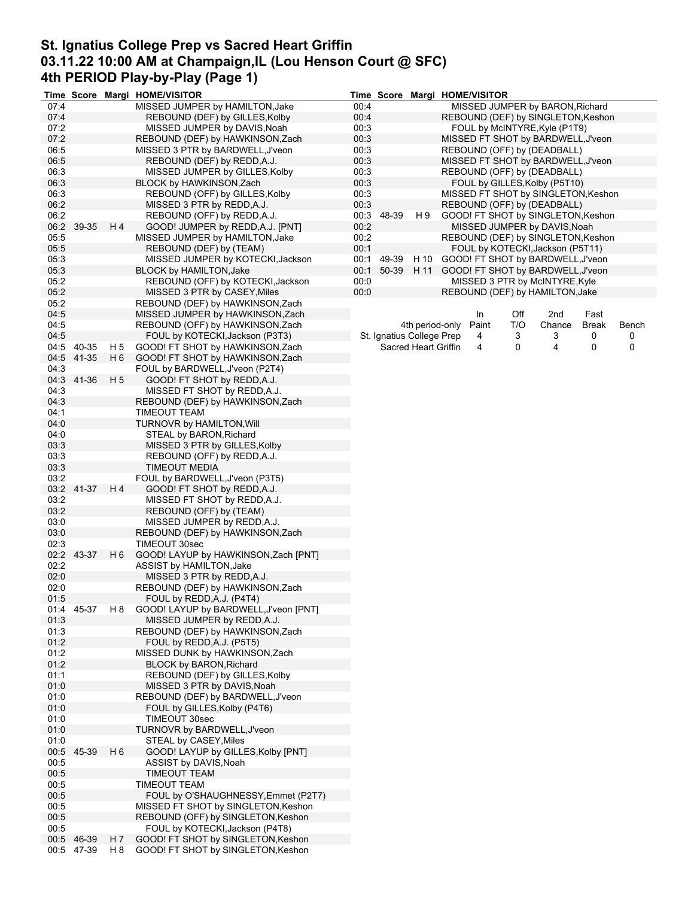# **St. Ignatius College Prep vs Sacred Heart Griffin 03.11.22 10:00 AM at Champaign,IL (Lou Henson Court @ SFC) 4th PERIOD Play-by-Play (Page 1)**

|      |            |                | Time Score Margi HOME/VISITOR         |      | <b>Time Score</b> |                             | Margi HOME/VISITOR                       |
|------|------------|----------------|---------------------------------------|------|-------------------|-----------------------------|------------------------------------------|
| 07:4 |            |                | MISSED JUMPER by HAMILTON, Jake       | 00:4 |                   |                             | MISSED JUMPER by BARON, Richard          |
| 07:4 |            |                | REBOUND (DEF) by GILLES, Kolby        | 00:4 |                   |                             | REBOUND (DEF) by SINGLETON, Keshon       |
| 07:2 |            |                | MISSED JUMPER by DAVIS, Noah          | 00:3 |                   |                             | FOUL by McINTYRE, Kyle (P1T9)            |
| 07:2 |            |                | REBOUND (DEF) by HAWKINSON, Zach      | 00:3 |                   |                             | MISSED FT SHOT by BARDWELL, J'veon       |
| 06:5 |            |                | MISSED 3 PTR by BARDWELL, J'veon      | 00:3 |                   |                             | REBOUND (OFF) by (DEADBALL)              |
|      |            |                |                                       |      |                   |                             | MISSED FT SHOT by BARDWELL, J'veon       |
| 06:5 |            |                | REBOUND (DEF) by REDD, A.J.           | 00:3 |                   |                             |                                          |
| 06:3 |            |                | MISSED JUMPER by GILLES, Kolby        | 00:3 |                   |                             | REBOUND (OFF) by (DEADBALL)              |
| 06:3 |            |                | BLOCK by HAWKINSON, Zach              | 00:3 |                   |                             | FOUL by GILLES, Kolby (P5T10)            |
| 06:3 |            |                | REBOUND (OFF) by GILLES, Kolby        | 00:3 |                   |                             | MISSED FT SHOT by SINGLETON, Keshon      |
| 06:2 |            |                | MISSED 3 PTR by REDD, A.J.            | 00:3 |                   |                             | REBOUND (OFF) by (DEADBALL)              |
| 06:2 |            |                | REBOUND (OFF) by REDD, A.J.           |      | 00:3 48-39        | H 9                         | GOOD! FT SHOT by SINGLETON, Keshon       |
| 06:2 | 39-35      | H 4            | GOOD! JUMPER by REDD, A.J. [PNT]      | 00:2 |                   |                             | MISSED JUMPER by DAVIS, Noah             |
| 05:5 |            |                | MISSED JUMPER by HAMILTON, Jake       | 00:2 |                   |                             | REBOUND (DEF) by SINGLETON, Keshon       |
| 05:5 |            |                | REBOUND (DEF) by (TEAM)               | 00:1 |                   |                             | FOUL by KOTECKI, Jackson (P5T11)         |
| 05:3 |            |                | MISSED JUMPER by KOTECKI, Jackson     | 00:1 | 49-39             | H 10                        | GOOD! FT SHOT by BARDWELL, J'veon        |
| 05:3 |            |                | BLOCK by HAMILTON, Jake               | 00:1 |                   | 50-39 H 11                  | GOOD! FT SHOT by BARDWELL, J'veon        |
| 05:2 |            |                | REBOUND (OFF) by KOTECKI, Jackson     | 00:0 |                   |                             | MISSED 3 PTR by McINTYRE, Kyle           |
| 05:2 |            |                |                                       | 00:0 |                   |                             |                                          |
|      |            |                | MISSED 3 PTR by CASEY, Miles          |      |                   |                             | REBOUND (DEF) by HAMILTON, Jake          |
| 05:2 |            |                | REBOUND (DEF) by HAWKINSON, Zach      |      |                   |                             |                                          |
| 04:5 |            |                | MISSED JUMPER by HAWKINSON, Zach      |      |                   |                             | In<br>Off<br>2nd<br>Fast                 |
| 04:5 |            |                | REBOUND (OFF) by HAWKINSON, Zach      |      |                   | 4th period-only             | T/O<br>Paint<br>Chance<br>Break<br>Bench |
| 04:5 |            |                | FOUL by KOTECKI, Jackson (P3T3)       |      |                   | St. Ignatius College Prep   | 4<br>3<br>3<br>0<br>0                    |
|      | 04:5 40-35 | H 5            | GOOD! FT SHOT by HAWKINSON, Zach      |      |                   | <b>Sacred Heart Griffin</b> | 0<br>4<br>0<br>0<br>4                    |
| 04:5 | 41-35      | H <sub>6</sub> | GOOD! FT SHOT by HAWKINSON, Zach      |      |                   |                             |                                          |
| 04:3 |            |                | FOUL by BARDWELL, J'veon (P2T4)       |      |                   |                             |                                          |
| 04:3 | 41-36      | H 5            | GOOD! FT SHOT by REDD, A.J.           |      |                   |                             |                                          |
| 04:3 |            |                | MISSED FT SHOT by REDD, A.J.          |      |                   |                             |                                          |
| 04:3 |            |                | REBOUND (DEF) by HAWKINSON, Zach      |      |                   |                             |                                          |
|      |            |                |                                       |      |                   |                             |                                          |
| 04:1 |            |                | TIMEOUT TEAM                          |      |                   |                             |                                          |
| 04:0 |            |                | <b>TURNOVR by HAMILTON, Will</b>      |      |                   |                             |                                          |
| 04:0 |            |                | STEAL by BARON, Richard               |      |                   |                             |                                          |
| 03.3 |            |                | MISSED 3 PTR by GILLES, Kolby         |      |                   |                             |                                          |
| 03:3 |            |                | REBOUND (OFF) by REDD, A.J.           |      |                   |                             |                                          |
| 03:3 |            |                | TIMEOUT MEDIA                         |      |                   |                             |                                          |
| 03:2 |            |                | FOUL by BARDWELL, J'veon (P3T5)       |      |                   |                             |                                          |
| 03:2 | 41-37      | H 4            | GOOD! FT SHOT by REDD, A.J.           |      |                   |                             |                                          |
| 03:2 |            |                | MISSED FT SHOT by REDD, A.J.          |      |                   |                             |                                          |
| 03:2 |            |                | REBOUND (OFF) by (TEAM)               |      |                   |                             |                                          |
| 03:0 |            |                | MISSED JUMPER by REDD, A.J.           |      |                   |                             |                                          |
| 03:0 |            |                | REBOUND (DEF) by HAWKINSON, Zach      |      |                   |                             |                                          |
| 02:3 |            |                | TIMEOUT 30sec                         |      |                   |                             |                                          |
|      |            |                |                                       |      |                   |                             |                                          |
| 02:2 | 43-37      | H 6            | GOOD! LAYUP by HAWKINSON, Zach [PNT]  |      |                   |                             |                                          |
| 02:2 |            |                | ASSIST by HAMILTON, Jake              |      |                   |                             |                                          |
| 02:0 |            |                | MISSED 3 PTR by REDD, A.J.            |      |                   |                             |                                          |
| 02:0 |            |                | REBOUND (DEF) by HAWKINSON, Zach      |      |                   |                             |                                          |
| 01:5 |            |                | FOUL by REDD, A.J. (P4T4)             |      |                   |                             |                                          |
|      | 01:4 45-37 | H 8            | GOOD! LAYUP by BARDWELL, J'veon [PNT] |      |                   |                             |                                          |
| 01:3 |            |                | MISSED JUMPER by REDD, A.J.           |      |                   |                             |                                          |
| 01:3 |            |                | REBOUND (DEF) by HAWKINSON, Zach      |      |                   |                             |                                          |
| 01:2 |            |                | FOUL by REDD, A.J. (P5T5)             |      |                   |                             |                                          |
| 01:2 |            |                | MISSED DUNK by HAWKINSON, Zach        |      |                   |                             |                                          |
| 01:2 |            |                | <b>BLOCK by BARON, Richard</b>        |      |                   |                             |                                          |
| 01:1 |            |                | REBOUND (DEF) by GILLES, Kolby        |      |                   |                             |                                          |
| 01:0 |            |                | MISSED 3 PTR by DAVIS, Noah           |      |                   |                             |                                          |
|      |            |                |                                       |      |                   |                             |                                          |
| 01:0 |            |                | REBOUND (DEF) by BARDWELL, J'veon     |      |                   |                             |                                          |
| 01:0 |            |                | FOUL by GILLES, Kolby (P4T6)          |      |                   |                             |                                          |
| 01:0 |            |                | TIMEOUT 30sec                         |      |                   |                             |                                          |
| 01:0 |            |                | TURNOVR by BARDWELL, J'veon           |      |                   |                             |                                          |
| 01:0 |            |                | STEAL by CASEY, Miles                 |      |                   |                             |                                          |
| 00:5 | 45-39      | H 6            | GOOD! LAYUP by GILLES, Kolby [PNT]    |      |                   |                             |                                          |
| 00:5 |            |                | ASSIST by DAVIS, Noah                 |      |                   |                             |                                          |
| 00:5 |            |                | <b>TIMEOUT TEAM</b>                   |      |                   |                             |                                          |
| 00:5 |            |                | <b>TIMEOUT TEAM</b>                   |      |                   |                             |                                          |
| 00:5 |            |                | FOUL by O'SHAUGHNESSY, Emmet (P2T7)   |      |                   |                             |                                          |
| 00:5 |            |                | MISSED FT SHOT by SINGLETON, Keshon   |      |                   |                             |                                          |
| 00:5 |            |                | REBOUND (OFF) by SINGLETON, Keshon    |      |                   |                             |                                          |
| 00:5 |            |                | FOUL by KOTECKI, Jackson (P4T8)       |      |                   |                             |                                          |
|      |            |                |                                       |      |                   |                             |                                          |
|      | 00:5 46-39 | H 7            | GOOD! FT SHOT by SINGLETON, Keshon    |      |                   |                             |                                          |
|      | 00:5 47-39 | H 8            | GOOD! FT SHOT by SINGLETON, Keshon    |      |                   |                             |                                          |